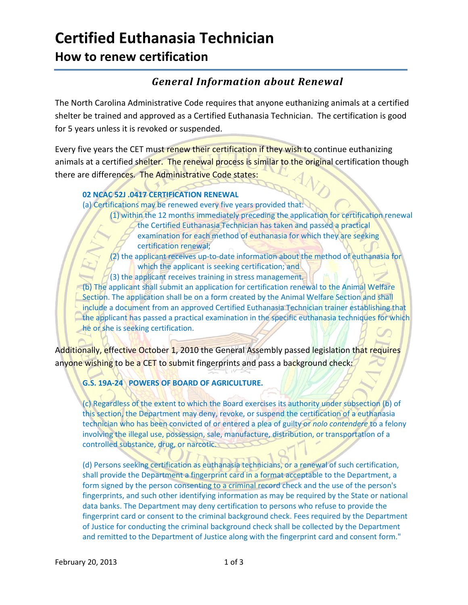# **Certified Euthanasia Technician**

## **How to renew certification**

## *General Information about Renewal*

The North Carolina Administrative Code requires that anyone euthanizing animals at a certified shelter be trained and approved as a Certified Euthanasia Technician. The certification is good for 5 years unless it is revoked or suspended.

Every five years the CET must renew their certification if they wish to continue euthanizing animals at a certified shelter. The renewal process is similar to the original certification though there are differences. The Administrative Code states:

#### **02 NCAC 52J .0417 CERTIFICATION RENEWAL**

(a) Certifications may be renewed every five years provided that:

(1) within the 12 months immediately preceding the application for certification renewal the Certified Euthanasia Technician has taken and passed a practical examination for each method of euthanasia for which they are seeking certification renewal;

(2) the applicant receives up-to-date information about the method of euthanasia for which the applicant is seeking certification; and

(3) the applicant receives training in stress management. (b) The applicant shall submit an application for certification renewal to the Animal Welfare Section. The application shall be on a form created by the Animal Welfare Section and shall include a document from an approved Certified Euthanasia Technician trainer establishing that the applicant has passed a practical examination in the specific euthanasia techniques for which he or she is seeking certification.

Additionally, effective October 1, 2010 the General Assembly passed legislation that requires anyone wishing to be a CET to submit fingerprints and pass a background check:

**G.S. 19A-24 POWERS OF BOARD OF AGRICULTURE.** 

(c) Regardless of the extent to which the Board exercises its authority under subsection (b) of this section, the Department may deny, revoke, or suspend the certification of a euthanasia technician who has been convicted of or entered a plea of guilty or *nolo contendere* to a felony involving the illegal use, possession, sale, manufacture, distribution, or transportation of a controlled substance, drug, or narcotic.

(d) Persons seeking certification as euthanasia technicians, or a renewal of such certification, shall provide the Department a fingerprint card in a format acceptable to the Department, a form signed by the person consenting to a criminal record check and the use of the person's fingerprints, and such other identifying information as may be required by the State or national data banks. The Department may deny certification to persons who refuse to provide the fingerprint card or consent to the criminal background check. Fees required by the Department of Justice for conducting the criminal background check shall be collected by the Department and remitted to the Department of Justice along with the fingerprint card and consent form."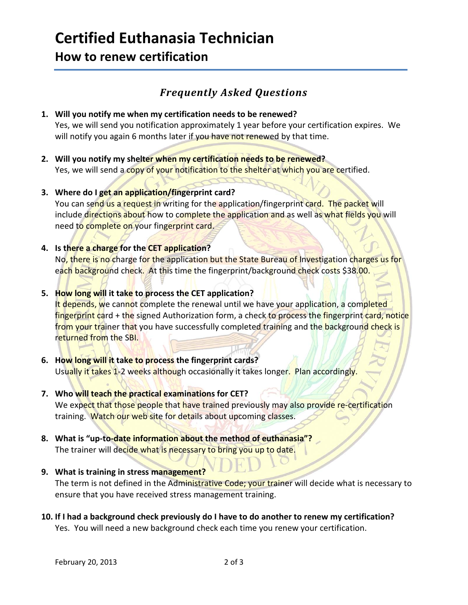# **Certified Euthanasia Technician**

## **How to renew certification**

### *Frequently Asked Questions*

#### **1. Will you notify me when my certification needs to be renewed?**

Yes, we will send you notification approximately 1 year before your certification expires. We will notify you again 6 months later if you have not renewed by that time.

**2. Will you notify my shelter when my certification needs to be renewed?** Yes, we will send a copy of your notification to the shelter at which you are certified.

#### **3. Where do I get an application/fingerprint card?**

You can send us a request in writing for the application/fingerprint card. The packet will include directions about how to complete the application and as well as what fields you will need to complete on your fingerprint card.

#### **4. Is there a charge for the CET application?**

No, there is no charge for the application but the State Bureau of Investigation charges us for each background check. At this time the fingerprint/background check costs \$38.00.

#### **5. How long will it take to process the CET application?**

It depends, we cannot complete the renewal until we have your application, a completed fingerprint card + the signed Authorization form, a check to process the fingerprint card, notice from your trainer that you have successfully completed training and the background check is returned from the SBI.

#### **6. How long will it take to process the fingerprint cards?** Usually it takes 1-2 weeks although occasionally it takes longer. Plan accordingly.

- **7. Who will teach the practical examinations for CET?** We expect that those people that have trained previously may also provide re-certification training. Watch our web site for details about upcoming classes.
- **8. What is "up-to-date information about the method of euthanasia"?** The trainer will decide what is necessary to bring you up to date.

#### **9. What is training in stress management?**

The term is not defined in the Administrative Code; your trainer will decide what is necessary to ensure that you have received stress management training.

**10. If I had a background check previously do I have to do another to renew my certification?**

Yes. You will need a new background check each time you renew your certification.